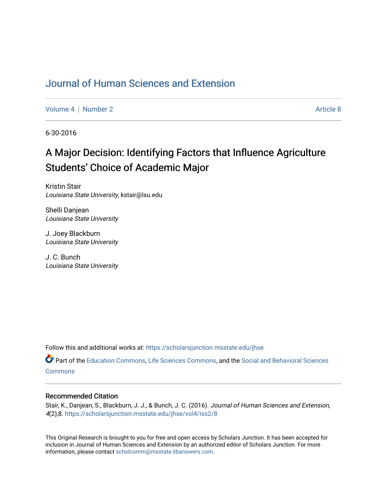### [Journal of Human Sciences and Extension](https://scholarsjunction.msstate.edu/jhse)

[Volume 4](https://scholarsjunction.msstate.edu/jhse/vol4) | [Number 2](https://scholarsjunction.msstate.edu/jhse/vol4/iss2) Article 8

6-30-2016

# A Major Decision: Identifying Factors that Influence Agriculture Students' Choice of Academic Major

Kristin Stair Louisiana State University, kstair@lsu.edu

Shelli Danjean Louisiana State University

J. Joey Blackburn Louisiana State University

J. C. Bunch Louisiana State University

Follow this and additional works at: [https://scholarsjunction.msstate.edu/jhse](https://scholarsjunction.msstate.edu/jhse?utm_source=scholarsjunction.msstate.edu%2Fjhse%2Fvol4%2Fiss2%2F8&utm_medium=PDF&utm_campaign=PDFCoverPages)

Part of the [Education Commons](http://network.bepress.com/hgg/discipline/784?utm_source=scholarsjunction.msstate.edu%2Fjhse%2Fvol4%2Fiss2%2F8&utm_medium=PDF&utm_campaign=PDFCoverPages), [Life Sciences Commons](http://network.bepress.com/hgg/discipline/1016?utm_source=scholarsjunction.msstate.edu%2Fjhse%2Fvol4%2Fiss2%2F8&utm_medium=PDF&utm_campaign=PDFCoverPages), and the [Social and Behavioral Sciences](http://network.bepress.com/hgg/discipline/316?utm_source=scholarsjunction.msstate.edu%2Fjhse%2Fvol4%2Fiss2%2F8&utm_medium=PDF&utm_campaign=PDFCoverPages)  **[Commons](http://network.bepress.com/hgg/discipline/316?utm_source=scholarsjunction.msstate.edu%2Fjhse%2Fvol4%2Fiss2%2F8&utm_medium=PDF&utm_campaign=PDFCoverPages)** 

#### Recommended Citation

Stair, K., Danjean, S., Blackburn, J. J., & Bunch, J. C. (2016). Journal of Human Sciences and Extension, 4(2),8. [https://scholarsjunction.msstate.edu/jhse/vol4/iss2/8](https://scholarsjunction.msstate.edu/jhse/vol4/iss2/8?utm_source=scholarsjunction.msstate.edu%2Fjhse%2Fvol4%2Fiss2%2F8&utm_medium=PDF&utm_campaign=PDFCoverPages)

This Original Research is brought to you for free and open access by Scholars Junction. It has been accepted for inclusion in Journal of Human Sciences and Extension by an authorized editor of Scholars Junction. For more information, please contact [scholcomm@msstate.libanswers.com](mailto:scholcomm@msstate.libanswers.com).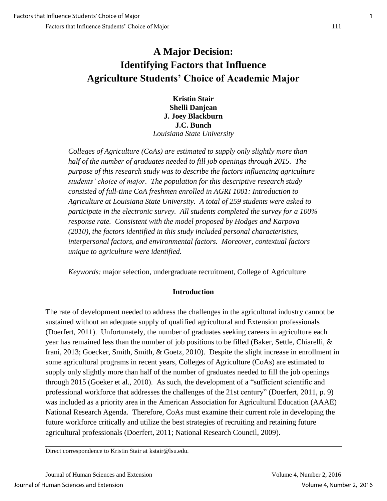## **A Major Decision: Identifying Factors that Influence Agriculture Students' Choice of Academic Major**

**Kristin Stair Shelli Danjean J. Joey Blackburn J.C. Bunch**  *Louisiana State University* 

*Colleges of Agriculture (CoAs) are estimated to supply only slightly more than half of the number of graduates needed to fill job openings through 2015. The purpose of this research study was to describe the factors influencing agriculture students' choice of major. The population for this descriptive research study consisted of full-time CoA freshmen enrolled in AGRI 1001: Introduction to Agriculture at Louisiana State University. A total of 259 students were asked to participate in the electronic survey. All students completed the survey for a 100% response rate. Consistent with the model proposed by Hodges and Karpova (2010), the factors identified in this study included personal characteristics, interpersonal factors, and environmental factors. Moreover, contextual factors unique to agriculture were identified.* 

*Keywords:* major selection, undergraduate recruitment, College of Agriculture

#### **Introduction**

The rate of development needed to address the challenges in the agricultural industry cannot be sustained without an adequate supply of qualified agricultural and Extension professionals (Doerfert, 2011). Unfortunately, the number of graduates seeking careers in agriculture each year has remained less than the number of job positions to be filled (Baker, Settle, Chiarelli, & Irani, 2013; Goecker, Smith, Smith, & Goetz, 2010). Despite the slight increase in enrollment in some agricultural programs in recent years, Colleges of Agriculture (CoAs) are estimated to supply only slightly more than half of the number of graduates needed to fill the job openings through 2015 (Goeker et al., 2010). As such, the development of a "sufficient scientific and professional workforce that addresses the challenges of the 21st century" (Doerfert, 2011, p. 9) was included as a priority area in the American Association for Agricultural Education (AAAE) National Research Agenda. Therefore, CoAs must examine their current role in developing the future workforce critically and utilize the best strategies of recruiting and retaining future agricultural professionals (Doerfert, 2011; National Research Council, 2009).

Direct correspondence to Kristin Stair at kstair@lsu.edu.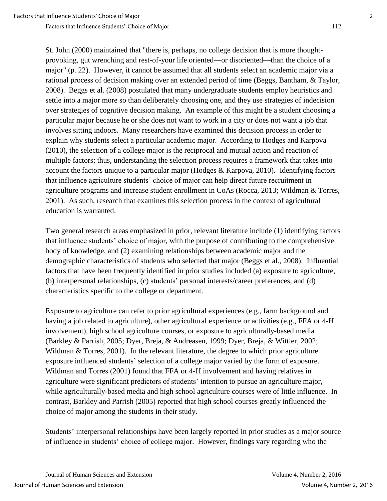Factors that Influence Students' Choice of Major 112

St. John (2000) maintained that "there is, perhaps, no college decision that is more thoughtprovoking, gut wrenching and rest-of-your life oriented—or disoriented—than the choice of a major" (p. 22). However, it cannot be assumed that all students select an academic major via a rational process of decision making over an extended period of time (Beggs, Bantham, & Taylor, 2008). Beggs et al. (2008) postulated that many undergraduate students employ heuristics and settle into a major more so than deliberately choosing one, and they use strategies of indecision over strategies of cognitive decision making. An example of this might be a student choosing a particular major because he or she does not want to work in a city or does not want a job that involves sitting indoors. Many researchers have examined this decision process in order to explain why students select a particular academic major. According to Hodges and Karpova (2010), the selection of a college major is the reciprocal and mutual action and reaction of multiple factors; thus, understanding the selection process requires a framework that takes into account the factors unique to a particular major (Hodges & Karpova, 2010). Identifying factors that influence agriculture students' choice of major can help direct future recruitment in agriculture programs and increase student enrollment in CoAs (Rocca, 2013; Wildman & Torres, 2001). As such, research that examines this selection process in the context of agricultural education is warranted.

Two general research areas emphasized in prior, relevant literature include (1) identifying factors that influence students' choice of major, with the purpose of contributing to the comprehensive body of knowledge, and (2) examining relationships between academic major and the demographic characteristics of students who selected that major (Beggs et al., 2008). Influential factors that have been frequently identified in prior studies included (a) exposure to agriculture, (b) interpersonal relationships, (c) students' personal interests/career preferences, and (d) characteristics specific to the college or department.

Exposure to agriculture can refer to prior agricultural experiences (e.g., farm background and having a job related to agriculture), other agricultural experience or activities (e.g., FFA or 4-H involvement), high school agriculture courses, or exposure to agriculturally-based media (Barkley & Parrish, 2005; Dyer, Breja, & Andreasen, 1999; Dyer, Breja, & Wittler, 2002; Wildman & Torres, 2001). In the relevant literature, the degree to which prior agriculture exposure influenced students' selection of a college major varied by the form of exposure. Wildman and Torres (2001) found that FFA or 4-H involvement and having relatives in agriculture were significant predictors of students' intention to pursue an agriculture major, while agriculturally-based media and high school agriculture courses were of little influence. In contrast, Barkley and Parrish (2005) reported that high school courses greatly influenced the choice of major among the students in their study.

Students' interpersonal relationships have been largely reported in prior studies as a major source of influence in students' choice of college major. However, findings vary regarding who the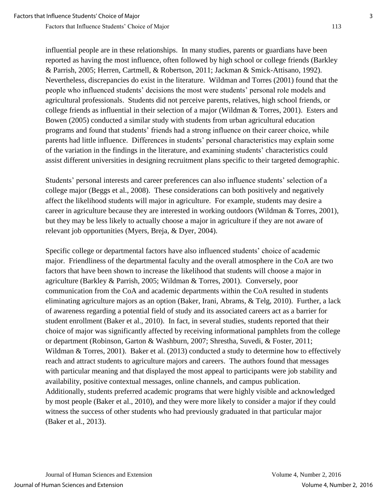influential people are in these relationships. In many studies, parents or guardians have been reported as having the most influence, often followed by high school or college friends (Barkley & Parrish, 2005; Herren, Cartmell, & Robertson, 2011; Jackman & Smick-Attisano, 1992). Nevertheless, discrepancies do exist in the literature. Wildman and Torres (2001) found that the people who influenced students' decisions the most were students' personal role models and agricultural professionals. Students did not perceive parents, relatives, high school friends, or college friends as influential in their selection of a major (Wildman & Torres, 2001). Esters and Bowen (2005) conducted a similar study with students from urban agricultural education programs and found that students' friends had a strong influence on their career choice, while parents had little influence. Differences in students' personal characteristics may explain some of the variation in the findings in the literature, and examining students' characteristics could assist different universities in designing recruitment plans specific to their targeted demographic.

Students' personal interests and career preferences can also influence students' selection of a college major (Beggs et al., 2008). These considerations can both positively and negatively affect the likelihood students will major in agriculture. For example, students may desire a career in agriculture because they are interested in working outdoors (Wildman & Torres, 2001), but they may be less likely to actually choose a major in agriculture if they are not aware of relevant job opportunities (Myers, Breja, & Dyer, 2004).

Specific college or departmental factors have also influenced students' choice of academic major. Friendliness of the departmental faculty and the overall atmosphere in the CoA are two factors that have been shown to increase the likelihood that students will choose a major in agriculture (Barkley & Parrish, 2005; Wildman & Torres, 2001). Conversely, poor communication from the CoA and academic departments within the CoA resulted in students eliminating agriculture majors as an option (Baker, Irani, Abrams, & Telg, 2010). Further, a lack of awareness regarding a potential field of study and its associated careers act as a barrier for student enrollment (Baker et al., 2010). In fact, in several studies, students reported that their choice of major was significantly affected by receiving informational pamphlets from the college or department (Robinson, Garton & Washburn, 2007; Shrestha, Suvedi, & Foster, 2011; Wildman & Torres, 2001). Baker et al. (2013) conducted a study to determine how to effectively reach and attract students to agriculture majors and careers. The authors found that messages with particular meaning and that displayed the most appeal to participants were job stability and availability, positive contextual messages, online channels, and campus publication. Additionally, students preferred academic programs that were highly visible and acknowledged by most people (Baker et al., 2010), and they were more likely to consider a major if they could witness the success of other students who had previously graduated in that particular major (Baker et al., 2013).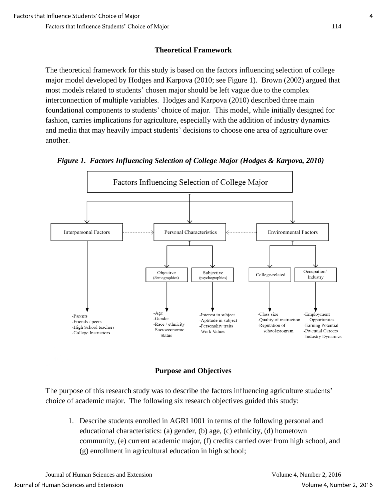### **Theoretical Framework**

The theoretical framework for this study is based on the factors influencing selection of college major model developed by Hodges and Karpova (2010; see Figure 1). Brown (2002) argued that most models related to students' chosen major should be left vague due to the complex interconnection of multiple variables. Hodges and Karpova (2010) described three main foundational components to students' choice of major. This model, while initially designed for fashion, carries implications for agriculture, especially with the addition of industry dynamics and media that may heavily impact students' decisions to choose one area of agriculture over another.







The purpose of this research study was to describe the factors influencing agriculture students' choice of academic major. The following six research objectives guided this study:

1. Describe students enrolled in AGRI 1001 in terms of the following personal and educational characteristics: (a) gender, (b) age, (c) ethnicity, (d) hometown community, (e) current academic major, (f) credits carried over from high school, and (g) enrollment in agricultural education in high school;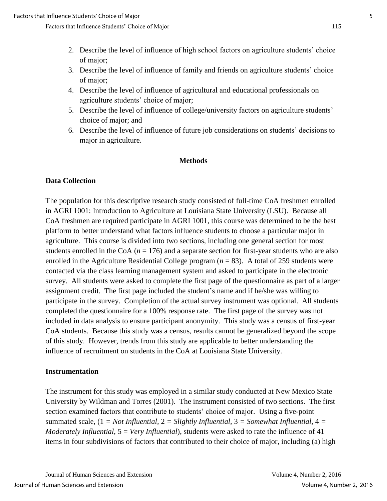- 2. Describe the level of influence of high school factors on agriculture students' choice of major;
- 3. Describe the level of influence of family and friends on agriculture students' choice of major;
- 4. Describe the level of influence of agricultural and educational professionals on agriculture students' choice of major;
- 5. Describe the level of influence of college/university factors on agriculture students' choice of major; and
- 6. Describe the level of influence of future job considerations on students' decisions to major in agriculture.

#### **Methods**

#### **Data Collection**

The population for this descriptive research study consisted of full-time CoA freshmen enrolled in AGRI 1001: Introduction to Agriculture at Louisiana State University (LSU). Because all CoA freshmen are required participate in AGRI 1001, this course was determined to be the best platform to better understand what factors influence students to choose a particular major in agriculture. This course is divided into two sections, including one general section for most students enrolled in the CoA  $(n = 176)$  and a separate section for first-year students who are also enrolled in the Agriculture Residential College program  $(n = 83)$ . A total of 259 students were contacted via the class learning management system and asked to participate in the electronic survey. All students were asked to complete the first page of the questionnaire as part of a larger assignment credit. The first page included the student's name and if he/she was willing to participate in the survey. Completion of the actual survey instrument was optional. All students completed the questionnaire for a 100% response rate. The first page of the survey was not included in data analysis to ensure participant anonymity. This study was a census of first-year CoA students. Because this study was a census, results cannot be generalized beyond the scope of this study. However, trends from this study are applicable to better understanding the influence of recruitment on students in the CoA at Louisiana State University.

#### **Instrumentation**

The instrument for this study was employed in a similar study conducted at New Mexico State University by Wildman and Torres (2001). The instrument consisted of two sections. The first section examined factors that contribute to students' choice of major. Using a five-point summated scale, (1 *= Not Influential,* 2 *= Slightly Influential,* 3 *= Somewhat Influential,* 4 *= Moderately Influential*, 5 = *Very Influential*), students were asked to rate the influence of 41 items in four subdivisions of factors that contributed to their choice of major, including (a) high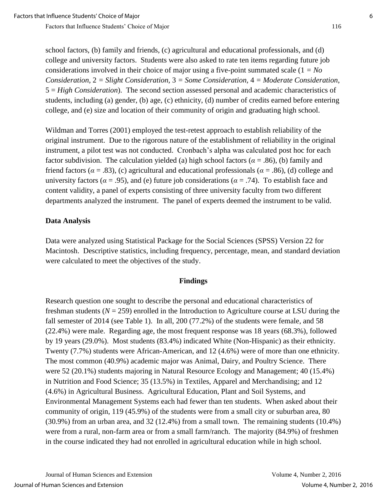school factors, (b) family and friends, (c) agricultural and educational professionals, and (d) college and university factors. Students were also asked to rate ten items regarding future job considerations involved in their choice of major using a five-point summated scale (1 *= No Consideration,* 2 *= Slight Consideration,* 3 *= Some Consideration,* 4 *= Moderate Consideration*, 5 = *High Consideration*). The second section assessed personal and academic characteristics of students, including (a) gender, (b) age, (c) ethnicity, (d) number of credits earned before entering college, and (e) size and location of their community of origin and graduating high school.

Wildman and Torres (2001) employed the test-retest approach to establish reliability of the original instrument. Due to the rigorous nature of the establishment of reliability in the original instrument, a pilot test was not conducted. Cronbach's alpha was calculated post hoc for each factor subdivision. The calculation yielded (a) high school factors ( $\alpha = .86$ ), (b) family and friend factors ( $\alpha$  = .83), (c) agricultural and educational professionals ( $\alpha$  = .86), (d) college and university factors ( $\alpha$  = .95), and (e) future job considerations ( $\alpha$  = .74). To establish face and content validity, a panel of experts consisting of three university faculty from two different departments analyzed the instrument. The panel of experts deemed the instrument to be valid.

#### **Data Analysis**

Data were analyzed using Statistical Package for the Social Sciences (SPSS) Version 22 for Macintosh. Descriptive statistics, including frequency, percentage, mean, and standard deviation were calculated to meet the objectives of the study.

#### **Findings**

Research question one sought to describe the personal and educational characteristics of freshman students  $(N = 259)$  enrolled in the Introduction to Agriculture course at LSU during the fall semester of 2014 (see Table 1). In all, 200 (77.2%) of the students were female, and 58 (22.4%) were male. Regarding age, the most frequent response was 18 years (68.3%), followed by 19 years (29.0%). Most students (83.4%) indicated White (Non-Hispanic) as their ethnicity. Twenty (7.7%) students were African-American, and 12 (4.6%) were of more than one ethnicity. The most common (40.9%) academic major was Animal, Dairy, and Poultry Science. There were 52 (20.1%) students majoring in Natural Resource Ecology and Management; 40 (15.4%) in Nutrition and Food Science; 35 (13.5%) in Textiles, Apparel and Merchandising; and 12 (4.6%) in Agricultural Business. Agricultural Education, Plant and Soil Systems, and Environmental Management Systems each had fewer than ten students. When asked about their community of origin, 119 (45.9%) of the students were from a small city or suburban area, 80 (30.9%) from an urban area, and 32 (12.4%) from a small town. The remaining students (10.4%) were from a rural, non-farm area or from a small farm/ranch. The majority (84.9%) of freshmen in the course indicated they had not enrolled in agricultural education while in high school.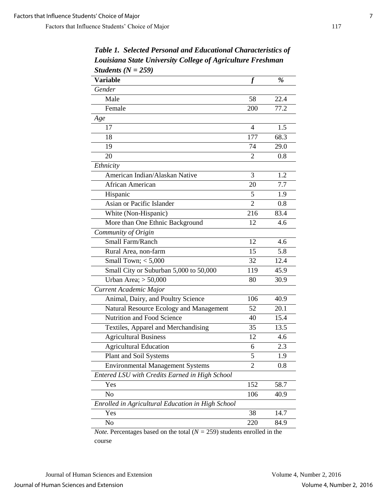| Students $(N = 259)$                              |                |      |
|---------------------------------------------------|----------------|------|
| <b>Variable</b>                                   |                | $\%$ |
| Gender                                            |                |      |
| Male                                              | 58             | 22.4 |
| Female                                            | 200            | 77.2 |
| Age                                               |                |      |
| 17                                                | 4              | 1.5  |
| 18                                                | 177            | 68.3 |
| 19                                                | 74             | 29.0 |
| 20                                                | 2              | 0.8  |
| Ethnicity                                         |                |      |
| American Indian/Alaskan Native                    | 3              | 1.2  |
| African American                                  | 20             | 7.7  |
| Hispanic                                          | 5              | 1.9  |
| Asian or Pacific Islander                         | $\overline{2}$ | 0.8  |
| White (Non-Hispanic)                              | 216            | 83.4 |
| More than One Ethnic Background                   | 12             | 4.6  |
| Community of Origin                               |                |      |
| Small Farm/Ranch                                  | 12             | 4.6  |
| Rural Area, non-farm                              | 15             | 5.8  |
| Small Town; $<$ 5,000                             | 32             | 12.4 |
| Small City or Suburban 5,000 to 50,000            | 119            | 45.9 |
| Urban Area; $> 50,000$                            | 80             | 30.9 |
| Current Academic Major                            |                |      |
| Animal, Dairy, and Poultry Science                | 106            | 40.9 |
| Natural Resource Ecology and Management           | 52             | 20.1 |
| Nutrition and Food Science                        | 40             | 15.4 |
| Textiles, Apparel and Merchandising               | 35             | 13.5 |
| <b>Agricultural Business</b>                      | 12             | 4.6  |
| <b>Agricultural Education</b>                     | 6              | 2.3  |
| Plant and Soil Systems                            | 5              | 1.9  |
| <b>Environmental Management Systems</b>           | 2              | 0.8  |
| Entered LSU with Credits Earned in High School    |                |      |
| Yes                                               | 152            | 58.7 |
| N <sub>o</sub>                                    | 106            | 40.9 |
| Enrolled in Agricultural Education in High School |                |      |
| Yes                                               | 38             | 14.7 |
| No                                                | 220            | 84.9 |
|                                                   |                |      |

*Table 1. Selected Personal and Educational Characteristics of Louisiana State University College of Agriculture Freshman*   $S$ tudents  $(N - 250)$ 

*Note.* Percentages based on the total  $(N = 259)$  students enrolled in the course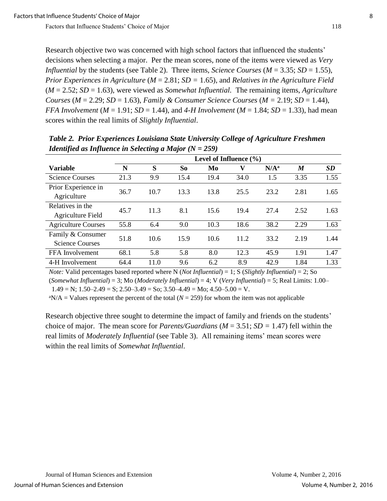Research objective two was concerned with high school factors that influenced the students' decisions when selecting a major. Per the mean scores, none of the items were viewed as *Very Influential* by the students (see Table 2). Three items, *Science Courses* (*M* = 3.35; *SD* = 1.55), *Prior Experiences in Agriculture* (*M* = 2.81; *SD =* 1.65), and *Relatives in the Agriculture Field* (*M* = 2.52; *SD* = 1.63), were viewed as *Somewhat Influential.* The remaining items, *Agriculture Courses* ( $M = 2.29$ ;  $SD = 1.63$ ), *Family & Consumer Science Courses* ( $M = 2.19$ ;  $SD = 1.44$ ), *FFA Involvement* ( $M = 1.91$ ; *SD* = 1.44), and 4-*H Involvement* ( $M = 1.84$ ; *SD* = 1.33), had mean scores within the real limits of *Slightly Influential*.

|                                             | Level of Influence $(\% )$ |      |      |      |      |                  |                  |           |
|---------------------------------------------|----------------------------|------|------|------|------|------------------|------------------|-----------|
| <b>Variable</b>                             | N                          | S    | So   | Mo   | V    | N/A <sup>a</sup> | $\boldsymbol{M}$ | <b>SD</b> |
| <b>Science Courses</b>                      | 21.3                       | 9.9  | 15.4 | 19.4 | 34.0 | 1.5              | 3.35             | 1.55      |
| Prior Experience in<br>Agriculture          | 36.7                       | 10.7 | 13.3 | 13.8 | 25.5 | 23.2             | 2.81             | 1.65      |
| Relatives in the<br>Agriculture Field       | 45.7                       | 11.3 | 8.1  | 15.6 | 19.4 | 27.4             | 2.52             | 1.63      |
| <b>Agriculture Courses</b>                  | 55.8                       | 6.4  | 9.0  | 10.3 | 18.6 | 38.2             | 2.29             | 1.63      |
| Family & Consumer<br><b>Science Courses</b> | 51.8                       | 10.6 | 15.9 | 10.6 | 11.2 | 33.2             | 2.19             | 1.44      |
| FFA Involvement                             | 68.1                       | 5.8  | 5.8  | 8.0  | 12.3 | 45.9             | 1.91             | 1.47      |
| 4-H Involvement                             | 64.4                       | 11.0 | 9.6  | 6.2  | 8.9  | 42.9             | 1.84             | 1.33      |

*Table 2. Prior Experiences Louisiana State University College of Agriculture Freshmen Identified as Influence in Selecting a Major (N = 259)*

*Note:* Valid percentages based reported where N (*Not Influential*) = 1; S (*Slightly Influential*) = 2; So (*Somewhat Influential*) = 3; Mo (*Moderately Influential*) = 4; V (*Very Influential*) = 5; Real Limits: 1.00–  $1.49 = N$ ;  $1.50 - 2.49 = S$ ;  $2.50 - 3.49 = S$ o;  $3.50 - 4.49 = M$ o;  $4.50 - 5.00 = V$ .

 ${}^{\text{a}}$ N/A = Values represent the percent of the total ( $N = 259$ ) for whom the item was not applicable

Research objective three sought to determine the impact of family and friends on the students' choice of major. The mean score for *Parents/Guardians* (*M* = 3.51; *SD =* 1.47) fell within the real limits of *Moderately Influential* (see Table 3). All remaining items' mean scores were within the real limits of *Somewhat Influential*.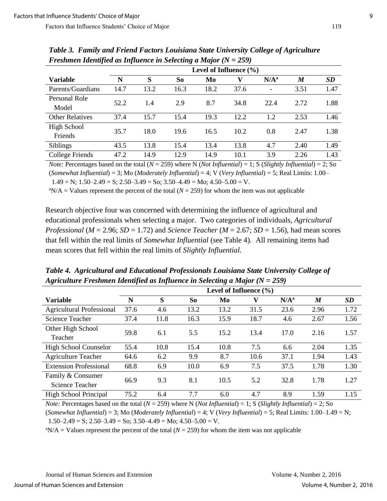| Tresumentation paragram as influence in Selecting a major $(Y - 20)$ |                            |      |                |      |      |                          |                  |           |  |
|----------------------------------------------------------------------|----------------------------|------|----------------|------|------|--------------------------|------------------|-----------|--|
|                                                                      | Level of Influence $(\% )$ |      |                |      |      |                          |                  |           |  |
| <b>Variable</b>                                                      | N                          | S    | S <sub>o</sub> | Mo   | v    | N/A <sup>a</sup>         | $\boldsymbol{M}$ | <b>SD</b> |  |
| Parents/Guardians                                                    | 14.7                       | 13.2 | 16.3           | 18.2 | 37.6 | $\overline{\phantom{a}}$ | 3.51             | 1.47      |  |
| Personal Role                                                        | 52.2                       | 1.4  | 2.9            | 8.7  | 34.8 | 22.4                     | 2.72             | 1.88      |  |
| Model                                                                |                            |      |                |      |      |                          |                  |           |  |
| <b>Other Relatives</b>                                               | 37.4                       | 15.7 | 15.4           | 19.3 | 12.2 | 1.2                      | 2.53             | 1.46      |  |
| High School                                                          | 35.7                       | 18.0 | 19.6           | 16.5 | 10.2 | 0.8                      | 2.47             | 1.38      |  |
| Friends                                                              |                            |      |                |      |      |                          |                  |           |  |
| <b>Siblings</b>                                                      | 43.5                       | 13.8 | 15.4           | 13.4 | 13.8 | 4.7                      | 2.40             | 1.49      |  |
| College Friends                                                      | 47.2                       | 14.9 | 12.9           | 14.9 | 10.1 | 3.9                      | 2.26             | 1.43      |  |

*Table 3. Family and Friend Factors Louisiana State University College of Agriculture Freshmen Identified as Influence in Selecting a Major (N = 259)*

*Note:* Percentages based on the total  $(N = 259)$  where N (*Not Influential*) = 1; S (*Slightly Influential*) = 2; So (*Somewhat Influential*) = 3; Mo (*Moderately Influential*) = 4; V (*Very Influential*) = 5; Real Limits: 1.00–  $1.49 = N$ ;  $1.50 - 2.49 = S$ ;  $2.50 - 3.49 = So$ ;  $3.50 - 4.49 = Mo$ ;  $4.50 - 5.00 = V$ .

<sup>a</sup>N/A = Values represent the percent of the total ( $N = 259$ ) for whom the item was not applicable

Research objective four was concerned with determining the influence of agricultural and educational professionals when selecting a major. Two categories of individuals, *Agricultural Professional* ( $M = 2.96$ ;  $SD = 1.72$ ) and *Science Teacher* ( $M = 2.67$ ;  $SD = 1.56$ ), had mean scores that fell within the real limits of *Somewhat Influential* (see Table 4). All remaining items had mean scores that fell within the real limits of *Slightly Influential.* 

*Table 4. Agricultural and Educational Professionals Louisiana State University College of Agriculture Freshmen Identified as Influence in Selecting a Major (N = 259)*

|                                  | Level of Influence $(\% )$ |      |      |      |      |                  |      |      |
|----------------------------------|----------------------------|------|------|------|------|------------------|------|------|
| <b>Variable</b>                  | N                          | S    | So   | Mo   | V    | N/A <sup>a</sup> | M    | SD   |
| <b>Agricultural Professional</b> | 37.6                       | 4.6  | 13.2 | 13.2 | 31.5 | 23.6             | 2.96 | 1.72 |
| Science Teacher                  | 37.4                       | 11.8 | 16.3 | 15.9 | 18.7 | 4.6              | 2.67 | 1.56 |
| Other High School                | 59.8                       | 6.1  | 5.5  | 15.2 | 13.4 | 17.0             | 2.16 | 1.57 |
| Teacher                          |                            |      |      |      |      |                  |      |      |
| <b>High School Counselor</b>     | 55.4                       | 10.8 | 15.4 | 10.8 | 7.5  | 6.6              | 2.04 | 1.35 |
| <b>Agriculture Teacher</b>       | 64.6                       | 6.2  | 9.9  | 8.7  | 10.6 | 37.1             | 1.94 | 1.43 |
| <b>Extension Professional</b>    | 68.8                       | 6.9  | 10.0 | 6.9  | 7.5  | 37.5             | 1.78 | 1.30 |
| Family & Consumer                | 66.9                       | 9.3  |      | 10.5 | 5.2  | 32.8             | 1.78 | 1.27 |
| Science Teacher                  |                            |      | 8.1  |      |      |                  |      |      |
| <b>High School Principal</b>     | 75.2                       | 6.4  | 7.7  | 6.0  | 4.7  | 8.9              | 1.59 | 1.15 |

*Note:* Percentages based on the total (*N* = 259) where N (*Not Influential*) = 1; S (*Slightly Influential*) = 2; So

(*Somewhat Influential*) = 3; Mo (*Moderately Influential*) = 4; V (*Very Influential*) = 5; Real Limits: 1.00–1.49 = N;

 $1.50-2.49 = S$ ;  $2.50-3.49 = So$ ;  $3.50-4.49 = Mo$ ;  $4.50-5.00 = V$ .

 ${}^{\text{a}}$ N/A = Values represent the percent of the total ( $N = 259$ ) for whom the item was not applicable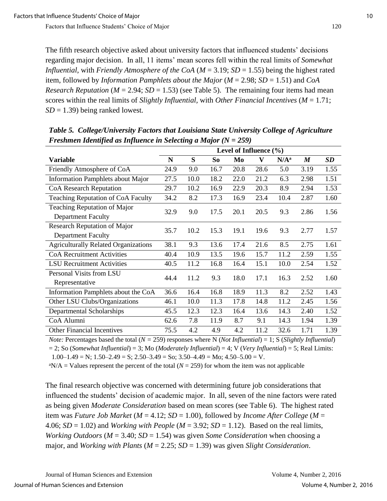The fifth research objective asked about university factors that influenced students' decisions regarding major decision. In all, 11 items' mean scores fell within the real limits of *Somewhat Influential*, with *Friendly Atmosphere of the CoA* ( $M = 3.19$ ;  $SD = 1.55$ ) being the highest rated item, followed by *Information Pamphlets about the Major* (*M* = 2.98; *SD* = 1.51) and *CoA Research Reputation* ( $M = 2.94$ ;  $SD = 1.53$ ) (see Table 5). The remaining four items had mean scores within the real limits of *Slightly Influential,* with *Other Financial Incentives* (*M* = 1.71; *SD* = 1.39) being ranked lowest*.*

|                                             | I resumen facturities as fujuached in Sciedung a major $(Y - 20)$<br>Level of Influence $(\% )$ |      |      |      |              |         |                  |      |  |
|---------------------------------------------|-------------------------------------------------------------------------------------------------|------|------|------|--------------|---------|------------------|------|--|
|                                             |                                                                                                 |      |      |      |              |         |                  |      |  |
| Variable                                    | N                                                                                               | S    | So   | Mo   | $\mathbf{V}$ | $N/A^a$ | $\boldsymbol{M}$ | SD   |  |
| Friendly Atmosphere of CoA                  | 24.9                                                                                            | 9.0  | 16.7 | 20.8 | 28.6         | 5.0     | 3.19             | 1.55 |  |
| <b>Information Pamphlets about Major</b>    | 27.5                                                                                            | 10.0 | 18.2 | 22.0 | 21.2         | 6.3     | 2.98             | 1.51 |  |
| <b>CoA Research Reputation</b>              | 29.7                                                                                            | 10.2 | 16.9 | 22.9 | 20.3         | 8.9     | 2.94             | 1.53 |  |
| Teaching Reputation of CoA Faculty          | 34.2                                                                                            | 8.2  | 17.3 | 16.9 | 23.4         | 10.4    | 2.87             | 1.60 |  |
| Teaching Reputation of Major                | 32.9                                                                                            | 9.0  |      | 20.1 | 20.5         |         | 2.86             | 1.56 |  |
| <b>Department Faculty</b>                   |                                                                                                 |      | 17.5 |      |              | 9.3     |                  |      |  |
| Research Reputation of Major                | 35.7                                                                                            | 10.2 | 15.3 | 19.1 | 19.6         | 9.3     | 2.77             | 1.57 |  |
| <b>Department Faculty</b>                   |                                                                                                 |      |      |      |              |         |                  |      |  |
| <b>Agriculturally Related Organizations</b> | 38.1                                                                                            | 9.3  | 13.6 | 17.4 | 21.6         | 8.5     | 2.75             | 1.61 |  |
| <b>CoA Recruitment Activities</b>           | 40.4                                                                                            | 10.9 | 13.5 | 19.6 | 15.7         | 11.2    | 2.59             | 1.55 |  |
| <b>LSU</b> Recruitment Activities           | 40.5                                                                                            | 11.2 | 16.8 | 16.4 | 15.1         | 10.0    | 2.54             | 1.52 |  |
| Personal Visits from LSU                    | 44.4                                                                                            | 11.2 | 9.3  | 18.0 | 17.1         |         | 2.52             | 1.60 |  |
| Representative                              |                                                                                                 |      |      |      |              | 16.3    |                  |      |  |
| Information Pamphlets about the CoA         | 36.6                                                                                            | 16.4 | 16.8 | 18.9 | 11.3         | 8.2     | 2.52             | 1.43 |  |
| Other LSU Clubs/Organizations               | 46.1                                                                                            | 10.0 | 11.3 | 17.8 | 14.8         | 11.2    | 2.45             | 1.56 |  |
| Departmental Scholarships                   | 45.5                                                                                            | 12.3 | 12.3 | 16.4 | 13.6         | 14.3    | 2.40             | 1.52 |  |
| CoA Alumni                                  | 62.6                                                                                            | 7.8  | 11.9 | 8.7  | 9.1          | 14.3    | 1.94             | 1.39 |  |
| <b>Other Financial Incentives</b>           | 75.5                                                                                            | 4.2  | 4.9  | 4.2  | 11.2         | 32.6    | 1.71             | 1.39 |  |

*Table 5. College/University Factors that Louisiana State University College of Agriculture Freshmen Identified as Influence in Selecting a Major (N = 259)*

*Note:* Percentages based the total (*N =* 259) responses where N (*Not Influential*) = 1; S (*Slightly Influential*) = 2; So (*Somewhat Influential*) = 3; Mo (*Moderately Influential*) = 4; V (*Very Influential*) = 5; Real Limits:  $1.00-1.49 = N$ ;  $1.50-2.49 = S$ ;  $2.50-3.49 = So$ ;  $3.50-4.49 = Mo$ ;  $4.50-5.00 = V$ .

 ${}^{\text{a}}$ N/A = Values represent the percent of the total ( $N = 259$ ) for whom the item was not applicable

The final research objective was concerned with determining future job considerations that influenced the students' decision of academic major. In all, seven of the nine factors were rated as being given *Moderate Consideration* based on mean scores (see Table 6). The highest rated item was *Future Job Market* (*M* = 4.12; *SD* = 1.00), followed by *Income After College* (*M* = 4.06;  $SD = 1.02$ ) and *Working with People* ( $M = 3.92$ ;  $SD = 1.12$ ). Based on the real limits, *Working Outdoors* ( $M = 3.40$ ;  $SD = 1.54$ ) was given *Some Consideration* when choosing a major, and *Working with Plants* (*M* = 2.25; *SD* = 1.39) was given *Slight Consideration*.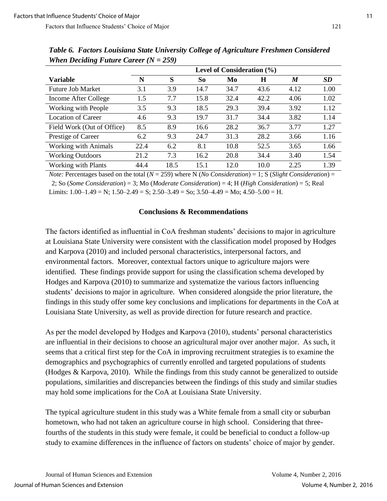| $\cdots$                    |                                |      |                |      |      |      |      |  |  |
|-----------------------------|--------------------------------|------|----------------|------|------|------|------|--|--|
|                             | Level of Consideration $(\% )$ |      |                |      |      |      |      |  |  |
| <b>Variable</b>             | N                              | S    | S <sub>o</sub> | Mo   | H    | M    | SD   |  |  |
| <b>Future Job Market</b>    | 3.1                            | 3.9  | 14.7           | 34.7 | 43.6 | 4.12 | 1.00 |  |  |
| Income After College        | 1.5                            | 7.7  | 15.8           | 32.4 | 42.2 | 4.06 | 1.02 |  |  |
| Working with People         | 3.5                            | 9.3  | 18.5           | 29.3 | 39.4 | 3.92 | 1.12 |  |  |
| <b>Location of Career</b>   | 4.6                            | 9.3  | 19.7           | 31.7 | 34.4 | 3.82 | 1.14 |  |  |
| Field Work (Out of Office)  | 8.5                            | 8.9  | 16.6           | 28.2 | 36.7 | 3.77 | 1.27 |  |  |
| Prestige of Career          | 6.2                            | 9.3  | 24.7           | 31.3 | 28.2 | 3.66 | 1.16 |  |  |
| <b>Working with Animals</b> | 22.4                           | 6.2  | 8.1            | 10.8 | 52.5 | 3.65 | 1.66 |  |  |
| <b>Working Outdoors</b>     | 21.2                           | 7.3  | 16.2           | 20.8 | 34.4 | 3.40 | 1.54 |  |  |
| <b>Working with Plants</b>  | 44.4                           | 18.5 | 15.1           | 12.0 | 10.0 | 2.25 | 1.39 |  |  |

*Table 6. Factors Louisiana State University College of Agriculture Freshmen Considered When Deciding Future Career (N = 259)*

*Note:* Percentages based on the total (*N* = 259) where N (*No Consideration*) = 1; S (*Slight Consideration*) =

2; So (*Some Consideration*) = 3; Mo (*Moderate Consideration*) = 4; H (*High Consideration*) = 5; Real Limits:  $1.00-1.49 = N$ ;  $1.50-2.49 = S$ ;  $2.50-3.49 = S$ o;  $3.50-4.49 = M$ o;  $4.50-5.00 = H$ .

#### **Conclusions & Recommendations**

The factors identified as influential in CoA freshman students' decisions to major in agriculture at Louisiana State University were consistent with the classification model proposed by Hodges and Karpova (2010) and included personal characteristics, interpersonal factors, and environmental factors. Moreover, contextual factors unique to agriculture majors were identified. These findings provide support for using the classification schema developed by Hodges and Karpova (2010) to summarize and systematize the various factors influencing students' decisions to major in agriculture. When considered alongside the prior literature, the findings in this study offer some key conclusions and implications for departments in the CoA at Louisiana State University, as well as provide direction for future research and practice.

As per the model developed by Hodges and Karpova (2010), students' personal characteristics are influential in their decisions to choose an agricultural major over another major. As such, it seems that a critical first step for the CoA in improving recruitment strategies is to examine the demographics and psychographics of currently enrolled and targeted populations of students (Hodges & Karpova, 2010). While the findings from this study cannot be generalized to outside populations, similarities and discrepancies between the findings of this study and similar studies may hold some implications for the CoA at Louisiana State University.

The typical agriculture student in this study was a White female from a small city or suburban hometown, who had not taken an agriculture course in high school. Considering that threefourths of the students in this study were female, it could be beneficial to conduct a follow-up study to examine differences in the influence of factors on students' choice of major by gender.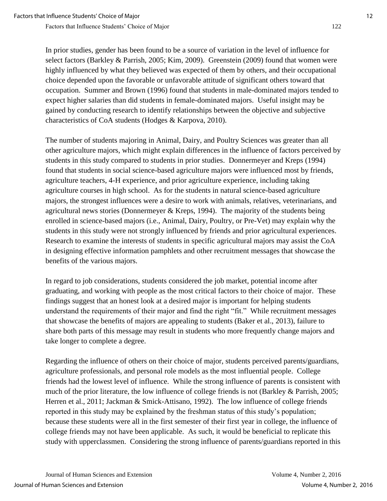In prior studies, gender has been found to be a source of variation in the level of influence for select factors (Barkley & Parrish, 2005; Kim, 2009). Greenstein (2009) found that women were highly influenced by what they believed was expected of them by others, and their occupational choice depended upon the favorable or unfavorable attitude of significant others toward that occupation. Summer and Brown (1996) found that students in male-dominated majors tended to expect higher salaries than did students in female-dominated majors. Useful insight may be gained by conducting research to identify relationships between the objective and subjective characteristics of CoA students (Hodges & Karpova, 2010).

The number of students majoring in Animal, Dairy, and Poultry Sciences was greater than all other agriculture majors, which might explain differences in the influence of factors perceived by students in this study compared to students in prior studies. Donnermeyer and Kreps (1994) found that students in social science-based agriculture majors were influenced most by friends, agriculture teachers, 4-H experience, and prior agriculture experience, including taking agriculture courses in high school. As for the students in natural science-based agriculture majors, the strongest influences were a desire to work with animals, relatives, veterinarians, and agricultural news stories (Donnermeyer & Kreps, 1994). The majority of the students being enrolled in science-based majors (i.e., Animal, Dairy, Poultry, or Pre-Vet) may explain why the students in this study were not strongly influenced by friends and prior agricultural experiences. Research to examine the interests of students in specific agricultural majors may assist the CoA in designing effective information pamphlets and other recruitment messages that showcase the benefits of the various majors.

In regard to job considerations, students considered the job market, potential income after graduating, and working with people as the most critical factors to their choice of major. These findings suggest that an honest look at a desired major is important for helping students understand the requirements of their major and find the right "fit." While recruitment messages that showcase the benefits of majors are appealing to students (Baker et al., 2013), failure to share both parts of this message may result in students who more frequently change majors and take longer to complete a degree.

Regarding the influence of others on their choice of major, students perceived parents/guardians, agriculture professionals, and personal role models as the most influential people. College friends had the lowest level of influence. While the strong influence of parents is consistent with much of the prior literature, the low influence of college friends is not (Barkley & Parrish, 2005; Herren et al., 2011; Jackman & Smick-Attisano, 1992). The low influence of college friends reported in this study may be explained by the freshman status of this study's population; because these students were all in the first semester of their first year in college, the influence of college friends may not have been applicable. As such, it would be beneficial to replicate this study with upperclassmen. Considering the strong influence of parents/guardians reported in this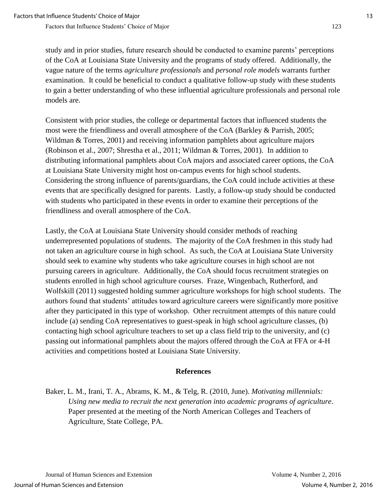study and in prior studies, future research should be conducted to examine parents' perceptions of the CoA at Louisiana State University and the programs of study offered. Additionally, the vague nature of the terms *agriculture professionals* and *personal role models* warrants further examination. It could be beneficial to conduct a qualitative follow-up study with these students to gain a better understanding of who these influential agriculture professionals and personal role models are.

Consistent with prior studies, the college or departmental factors that influenced students the most were the friendliness and overall atmosphere of the CoA (Barkley & Parrish, 2005; Wildman & Torres, 2001) and receiving information pamphlets about agriculture majors (Robinson et al., 2007; Shrestha et al., 2011; Wildman & Torres, 2001). In addition to distributing informational pamphlets about CoA majors and associated career options, the CoA at Louisiana State University might host on-campus events for high school students. Considering the strong influence of parents/guardians, the CoA could include activities at these events that are specifically designed for parents. Lastly, a follow-up study should be conducted with students who participated in these events in order to examine their perceptions of the friendliness and overall atmosphere of the CoA.

Lastly, the CoA at Louisiana State University should consider methods of reaching underrepresented populations of students. The majority of the CoA freshmen in this study had not taken an agriculture course in high school. As such, the CoA at Louisiana State University should seek to examine why students who take agriculture courses in high school are not pursuing careers in agriculture. Additionally, the CoA should focus recruitment strategies on students enrolled in high school agriculture courses. Fraze, Wingenbach, Rutherford, and Wolfskill (2011) suggested holding summer agriculture workshops for high school students. The authors found that students' attitudes toward agriculture careers were significantly more positive after they participated in this type of workshop. Other recruitment attempts of this nature could include (a) sending CoA representatives to guest-speak in high school agriculture classes, (b) contacting high school agriculture teachers to set up a class field trip to the university, and (c) passing out informational pamphlets about the majors offered through the CoA at FFA or 4-H activities and competitions hosted at Louisiana State University.

#### **References**

Baker, L. M., Irani, T. A., Abrams, K. M., & Telg, R. (2010, June). *Motivating millennials: Using new media to recruit the next generation into academic programs of agriculture*. Paper presented at the meeting of the North American Colleges and Teachers of Agriculture, State College, PA.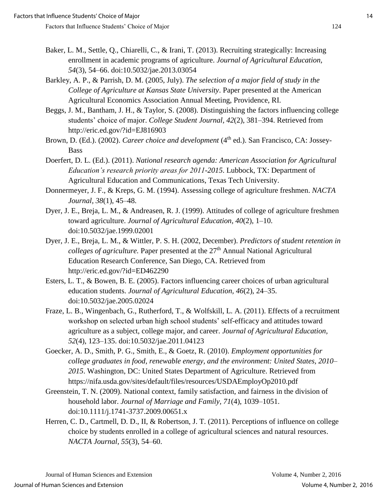- Baker, L. M., Settle, Q., Chiarelli, C., & Irani, T. (2013). Recruiting strategically: Increasing enrollment in academic programs of agriculture. *Journal of Agricultural Education, 54*(3), 54–66. doi:10.5032/jae.2013.03054
- Barkley, A. P., & Parrish, D. M. (2005, July). *The selection of a major field of study in the College of Agriculture at Kansas State University*. Paper presented at the American Agricultural Economics Association Annual Meeting, Providence, RI.
- Beggs, J. M., Bantham, J. H., & Taylor, S. (2008). Distinguishing the factors influencing college students' choice of major. *College Student Journal, 42*(2), 381–394. Retrieved from http://eric.ed.gov/?id=EJ816903
- Brown, D. (Ed.). (2002). *Career choice and development* (4<sup>th</sup> ed.). San Francisco, CA: Jossey-Bass
- Doerfert, D. L. (Ed.). (2011). *National research agenda: American Association for Agricultural Education's research priority areas for 2011-2015*. Lubbock, TX: Department of Agricultural Education and Communications, Texas Tech University.
- Donnermeyer, J. F., & Kreps, G. M. (1994). Assessing college of agriculture freshmen. *NACTA Journal, 38*(1), 45–48.
- Dyer, J. E., Breja, L. M., & Andreasen, R. J. (1999). Attitudes of college of agriculture freshmen toward agriculture. *Journal of Agricultural Education, 40*(2), 1–10. doi:10.5032/jae.1999.02001
- Dyer, J. E., Breja, L. M., & Wittler, P. S. H. (2002, December). *Predictors of student retention in colleges of agriculture.* Paper presented at the 27<sup>th</sup> Annual National Agricultural Education Research Conference, San Diego, CA. Retrieved from http://eric.ed.gov/?id=ED462290
- Esters, L. T., & Bowen, B. E. (2005). Factors influencing career choices of urban agricultural education students. *Journal of Agricultural Education, 46*(2), 24–35. doi:10.5032/jae.2005.02024
- Fraze, L. B., Wingenbach, G., Rutherford, T., & Wolfskill, L. A. (2011). Effects of a recruitment workshop on selected urban high school students' self-efficacy and attitudes toward agriculture as a subject, college major, and career. *Journal of Agricultural Education, 52*(4), 123–135. doi:10.5032/jae.2011.04123
- Goecker, A. D., Smith, P. G., Smith, E., & Goetz, R. (2010). *Employment opportunities for college graduates in food, renewable energy, and the environment: United States, 2010– 2015*. Washington, DC: United States Department of Agriculture. Retrieved from https://nifa.usda.gov/sites/default/files/resources/USDAEmployOp2010.pdf
- Greenstein, T. N. (2009). National context, family satisfaction, and fairness in the division of household labor. *Journal of Marriage and Family, 71*(4), 1039–1051. doi:10.1111/j.1741-3737.2009.00651.x
- Herren, C. D., Cartmell, D. D., II, & Robertson, J. T. (2011). Perceptions of influence on college choice by students enrolled in a college of agricultural sciences and natural resources. *NACTA Journal, 55*(3), 54–60.